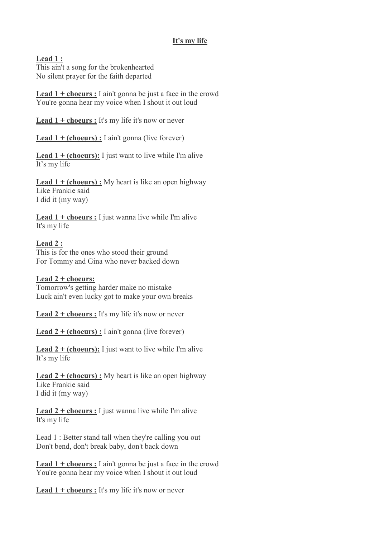## **It's my life**

**Lead 1 :**

This ain't a song for the brokenhearted No silent prayer for the faith departed

**Lead 1 + choeurs :** I ain't gonna be just a face in the crowd You're gonna hear my voice when I shout it out loud

**Lead 1 + choeurs :** It's my life it's now or never

Lead 1 + (choeurs) : I ain't gonna (live forever)

**Lead 1 + (choeurs):** I just want to live while I'm alive It's my life

**Lead 1 + (choeurs) :** My heart is like an open highway Like Frankie said I did it (my way)

**Lead 1 + choeurs :** I just wanna live while I'm alive It's my life

## **Lead 2 :**

This is for the ones who stood their ground For Tommy and Gina who never backed down

## **Lead 2 + choeurs:**

Tomorrow's getting harder make no mistake Luck ain't even lucky got to make your own breaks

**Lead 2 + choeurs :** It's my life it's now or never

**Lead 2 + (choeurs) :** I ain't gonna (live forever)

**Lead 2 + (choeurs):** I just want to live while I'm alive It's my life

**Lead 2 + (choeurs) :** My heart is like an open highway Like Frankie said I did it (my way)

**Lead 2 + choeurs :** I just wanna live while I'm alive It's my life

Lead 1 : Better stand tall when they're calling you out Don't bend, don't break baby, don't back down

**Lead 1 + choeurs :** I ain't gonna be just a face in the crowd You're gonna hear my voice when I shout it out loud

**Lead 1 + choeurs :** It's my life it's now or never